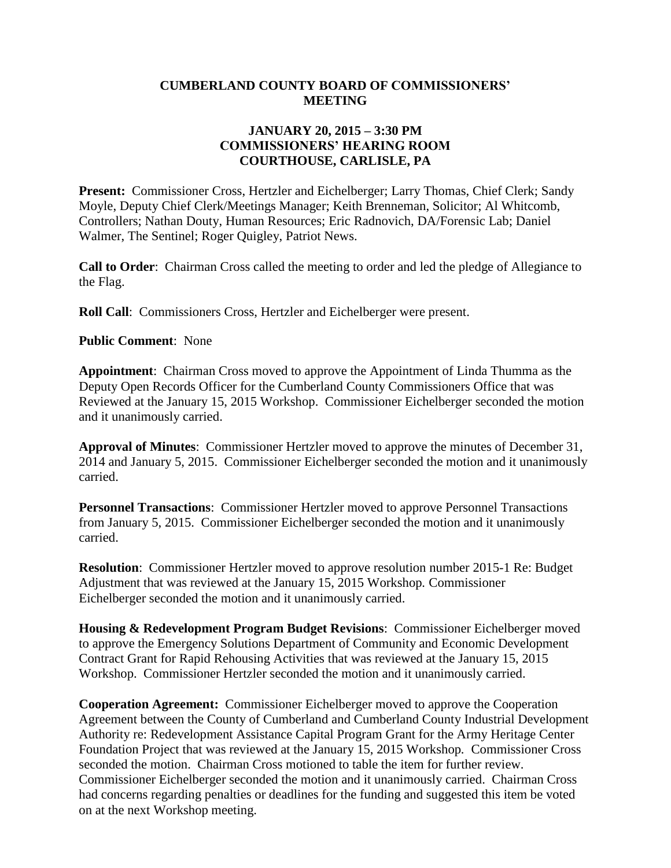#### **CUMBERLAND COUNTY BOARD OF COMMISSIONERS' MEETING**

## **JANUARY 20, 2015 – 3:30 PM COMMISSIONERS' HEARING ROOM COURTHOUSE, CARLISLE, PA**

**Present:** Commissioner Cross, Hertzler and Eichelberger; Larry Thomas, Chief Clerk; Sandy Moyle, Deputy Chief Clerk/Meetings Manager; Keith Brenneman, Solicitor; Al Whitcomb, Controllers; Nathan Douty, Human Resources; Eric Radnovich, DA/Forensic Lab; Daniel Walmer, The Sentinel; Roger Quigley, Patriot News.

**Call to Order**: Chairman Cross called the meeting to order and led the pledge of Allegiance to the Flag.

**Roll Call**: Commissioners Cross, Hertzler and Eichelberger were present.

**Public Comment**: None

**Appointment**: Chairman Cross moved to approve the Appointment of Linda Thumma as the Deputy Open Records Officer for the Cumberland County Commissioners Office that was Reviewed at the January 15, 2015 Workshop. Commissioner Eichelberger seconded the motion and it unanimously carried.

**Approval of Minutes**: Commissioner Hertzler moved to approve the minutes of December 31, 2014 and January 5, 2015. Commissioner Eichelberger seconded the motion and it unanimously carried.

**Personnel Transactions**: Commissioner Hertzler moved to approve Personnel Transactions from January 5, 2015. Commissioner Eichelberger seconded the motion and it unanimously carried.

**Resolution**: Commissioner Hertzler moved to approve resolution number 2015-1 Re: Budget Adjustment that was reviewed at the January 15, 2015 Workshop*.* Commissioner Eichelberger seconded the motion and it unanimously carried.

**Housing & Redevelopment Program Budget Revisions**: Commissioner Eichelberger moved to approve the Emergency Solutions Department of Community and Economic Development Contract Grant for Rapid Rehousing Activities that was reviewed at the January 15, 2015 Workshop. Commissioner Hertzler seconded the motion and it unanimously carried.

**Cooperation Agreement:** Commissioner Eichelberger moved to approve the Cooperation Agreement between the County of Cumberland and Cumberland County Industrial Development Authority re: Redevelopment Assistance Capital Program Grant for the Army Heritage Center Foundation Project that was reviewed at the January 15, 2015 Workshop*.* Commissioner Cross seconded the motion. Chairman Cross motioned to table the item for further review. Commissioner Eichelberger seconded the motion and it unanimously carried. Chairman Cross had concerns regarding penalties or deadlines for the funding and suggested this item be voted on at the next Workshop meeting.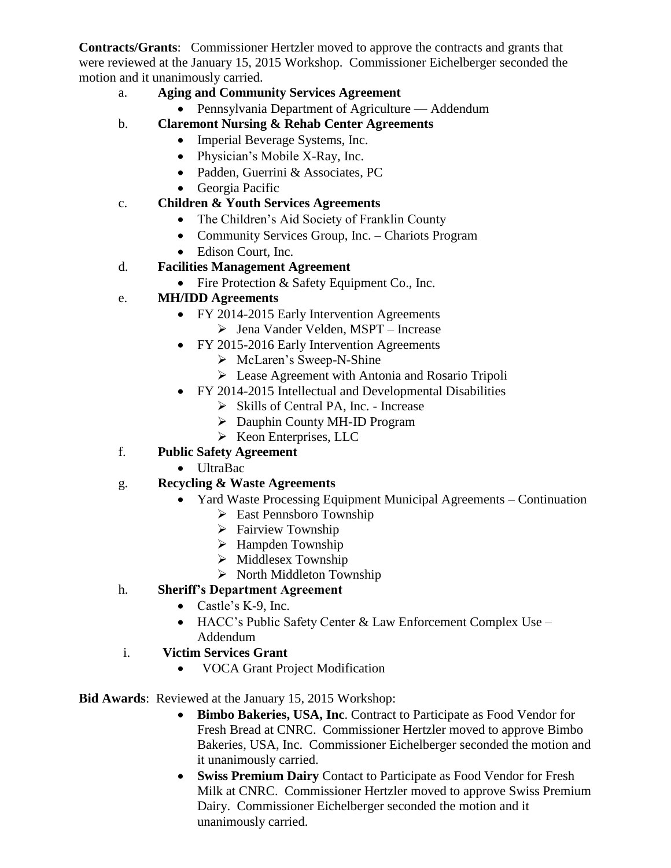**Contracts/Grants**: Commissioner Hertzler moved to approve the contracts and grants that were reviewed at the January 15, 2015 Workshop. Commissioner Eichelberger seconded the motion and it unanimously carried.

- a. **Aging and Community Services Agreement** 
	- Pennsylvania Department of Agriculture Addendum
- b. **Claremont Nursing & Rehab Center Agreements**
	- Imperial Beverage Systems, Inc.
	- Physician's Mobile X-Ray, Inc.
	- Padden, Guerrini & Associates, PC
	- Georgia Pacific
- c. **Children & Youth Services Agreements**
	- The Children's Aid Society of Franklin County
	- Community Services Group, Inc. Chariots Program
	- Edison Court, Inc.
- d. **Facilities Management Agreement**
	- Fire Protection & Safety Equipment Co., Inc.
- e. **MH/IDD Agreements**
	- FY 2014-2015 Early Intervention Agreements
		- $\triangleright$  Jena Vander Velden, MSPT Increase
	- FY 2015-2016 Early Intervention Agreements
		- McLaren's Sweep-N-Shine
		- Lease Agreement with Antonia and Rosario Tripoli
	- FY 2014-2015 Intellectual and Developmental Disabilities
		- $\triangleright$  Skills of Central PA, Inc. Increase
		- Dauphin County MH-ID Program
		- $\triangleright$  Keon Enterprises, LLC
- f. **Public Safety Agreement**
	- UltraBac

# g. **Recycling & Waste Agreements**

- Yard Waste Processing Equipment Municipal Agreements Continuation
	- $\triangleright$  East Pennsboro Township
	- $\triangleright$  Fairview Township
	- $\triangleright$  Hampden Township
	- $\triangleright$  Middlesex Township
	- $\triangleright$  North Middleton Township
- h. **Sheriff's Department Agreement**
	- Castle's K-9, Inc.
	- HACC's Public Safety Center & Law Enforcement Complex Use Addendum
- i. **Victim Services Grant** 
	- VOCA Grant Project Modification

### **Bid Awards**: Reviewed at the January 15, 2015 Workshop:

- **Bimbo Bakeries, USA, Inc**. Contract to Participate as Food Vendor for Fresh Bread at CNRC. Commissioner Hertzler moved to approve Bimbo Bakeries, USA, Inc. Commissioner Eichelberger seconded the motion and it unanimously carried.
- **Swiss Premium Dairy** Contact to Participate as Food Vendor for Fresh Milk at CNRC. Commissioner Hertzler moved to approve Swiss Premium Dairy. Commissioner Eichelberger seconded the motion and it unanimously carried.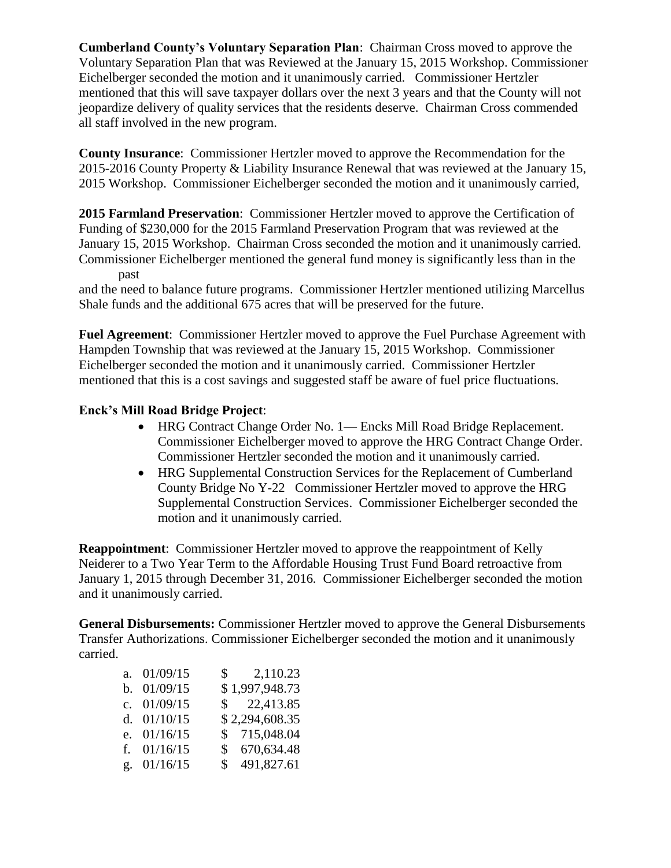**Cumberland County's Voluntary Separation Plan**: Chairman Cross moved to approve the Voluntary Separation Plan that was Reviewed at the January 15, 2015 Workshop. Commissioner Eichelberger seconded the motion and it unanimously carried. Commissioner Hertzler mentioned that this will save taxpayer dollars over the next 3 years and that the County will not jeopardize delivery of quality services that the residents deserve. Chairman Cross commended all staff involved in the new program.

**County Insurance**: Commissioner Hertzler moved to approve the Recommendation for the 2015-2016 County Property & Liability Insurance Renewal that was reviewed at the January 15, 2015 Workshop.Commissioner Eichelberger seconded the motion and it unanimously carried,

**2015 Farmland Preservation**: Commissioner Hertzler moved to approve the Certification of Funding of \$230,000 for the 2015 Farmland Preservation Program that was reviewed at the January 15, 2015 Workshop.Chairman Cross seconded the motion and it unanimously carried. Commissioner Eichelberger mentioned the general fund money is significantly less than in the past

and the need to balance future programs. Commissioner Hertzler mentioned utilizing Marcellus Shale funds and the additional 675 acres that will be preserved for the future.

**Fuel Agreement**: Commissioner Hertzler moved to approve the Fuel Purchase Agreement with Hampden Township that was reviewed at the January 15, 2015 Workshop. Commissioner Eichelberger seconded the motion and it unanimously carried. Commissioner Hertzler mentioned that this is a cost savings and suggested staff be aware of fuel price fluctuations.

### **Enck's Mill Road Bridge Project**:

- HRG Contract Change Order No. 1— Encks Mill Road Bridge Replacement. Commissioner Eichelberger moved to approve the HRG Contract Change Order. Commissioner Hertzler seconded the motion and it unanimously carried.
- HRG Supplemental Construction Services for the Replacement of Cumberland County Bridge No Y-22 Commissioner Hertzler moved to approve the HRG Supplemental Construction Services. Commissioner Eichelberger seconded the motion and it unanimously carried.

**Reappointment**: Commissioner Hertzler moved to approve the reappointment of Kelly Neiderer to a Two Year Term to the Affordable Housing Trust Fund Board retroactive from January 1, 2015 through December 31, 2016*.* Commissioner Eichelberger seconded the motion and it unanimously carried.

**General Disbursements:** Commissioner Hertzler moved to approve the General Disbursements Transfer Authorizations. Commissioner Eichelberger seconded the motion and it unanimously carried.

|    | a. $01/09/15$ | $\mathbb{S}$ | 2,110.23       |
|----|---------------|--------------|----------------|
|    | b. $01/09/15$ |              | \$1,997,948.73 |
|    | c. $01/09/15$ |              | \$22,413.85    |
|    | d. $01/10/15$ |              | \$2,294,608.35 |
| e. | 01/16/15      |              | \$ 715,048.04  |
|    | f. $01/16/15$ |              | \$670,634.48   |
|    | g. 01/16/15   |              | \$491,827.61   |